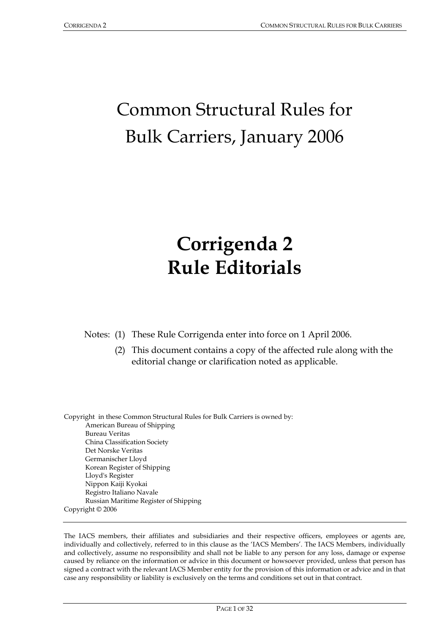# Common Structural Rules for Bulk Carriers, January 2006

# **Corrigenda 2 Rule Editorials**

Notes: (1) These Rule Corrigenda enter into force on 1 April 2006.

 (2) This document contains a copy of the affected rule along with the editorial change or clarification noted as applicable.

Copyright in these Common Structural Rules for Bulk Carriers is owned by: American Bureau of Shipping Bureau Veritas China Classification Society Det Norske Veritas Germanischer Lloyd Korean Register of Shipping Lloyd's Register Nippon Kaiji Kyokai Registro Italiano Navale Russian Maritime Register of Shipping Copyright © 2006

The IACS members, their affiliates and subsidiaries and their respective officers, employees or agents are, individually and collectively, referred to in this clause as the 'IACS Members'. The IACS Members, individually and collectively, assume no responsibility and shall not be liable to any person for any loss, damage or expense caused by reliance on the information or advice in this document or howsoever provided, unless that person has signed a contract with the relevant IACS Member entity for the provision of this information or advice and in that case any responsibility or liability is exclusively on the terms and conditions set out in that contract.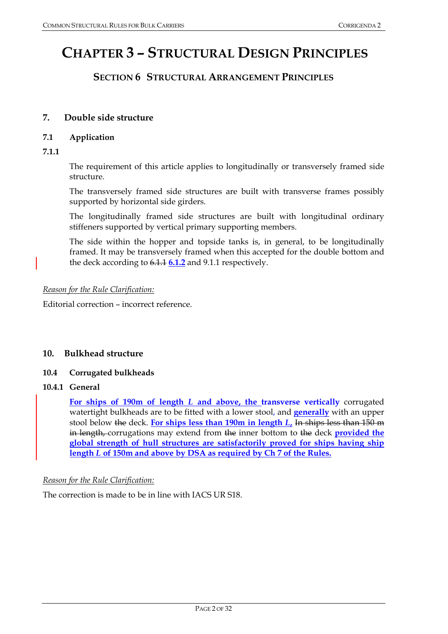# **CHAPTER 3 – STRUCTURAL DESIGN PRINCIPLES**

# **SECTION 6 STRUCTURAL ARRANGEMENT PRINCIPLES**

# **7. Double side structure**

#### **7.1 Application**

**7.1.1** 

The requirement of this article applies to longitudinally or transversely framed side structure.

 The transversely framed side structures are built with transverse frames possibly supported by horizontal side girders.

 The longitudinally framed side structures are built with longitudinal ordinary stiffeners supported by vertical primary supporting members.

 The side within the hopper and topside tanks is, in general, to be longitudinally framed. It may be transversely framed when this accepted for the double bottom and the deck according to 6.1.1 **6.1.2** and 9.1.1 respectively.

#### *Reason for the Rule Clarification:*

Editorial correction – incorrect reference.

#### **10. Bulkhead structure**

#### **10.4 Corrugated bulkheads**

# **10.4.1 General**

**For ships of 190m of length** *L* **and above, the transverse vertically** corrugated watertight bulkheads are to be fitted with a lower stool, and **generally** with an upper stool below the deck. **For ships less than 190m in length** *L***,** In ships less than 150 m in length, corrugations may extend from the inner bottom to the deck **provided the global strength of hull structures are satisfactorily proved for ships having ship length** *L* **of 150m and above by DSA as required by Ch 7 of the Rules.**

#### *Reason for the Rule Clarification:*

The correction is made to be in line with IACS UR S18.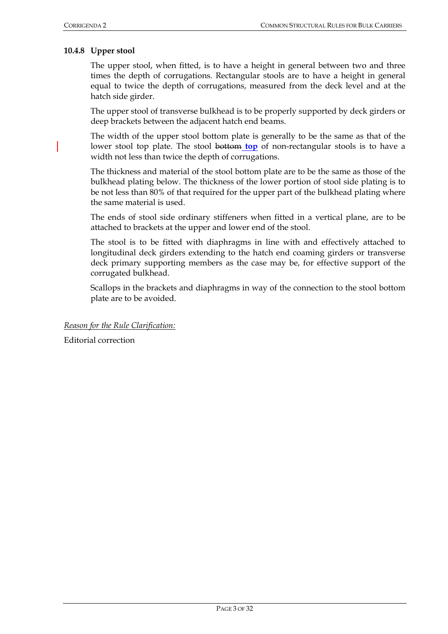#### **10.4.8 Upper stool**

The upper stool, when fitted, is to have a height in general between two and three times the depth of corrugations. Rectangular stools are to have a height in general equal to twice the depth of corrugations, measured from the deck level and at the hatch side girder.

The upper stool of transverse bulkhead is to be properly supported by deck girders or deep brackets between the adjacent hatch end beams.

The width of the upper stool bottom plate is generally to be the same as that of the lower stool top plate. The stool bottom **top** of non-rectangular stools is to have a width not less than twice the depth of corrugations.

The thickness and material of the stool bottom plate are to be the same as those of the bulkhead plating below. The thickness of the lower portion of stool side plating is to be not less than 80% of that required for the upper part of the bulkhead plating where the same material is used.

The ends of stool side ordinary stiffeners when fitted in a vertical plane, are to be attached to brackets at the upper and lower end of the stool.

The stool is to be fitted with diaphragms in line with and effectively attached to longitudinal deck girders extending to the hatch end coaming girders or transverse deck primary supporting members as the case may be, for effective support of the corrugated bulkhead.

Scallops in the brackets and diaphragms in way of the connection to the stool bottom plate are to be avoided.

*Reason for the Rule Clarification:*

Editorial correction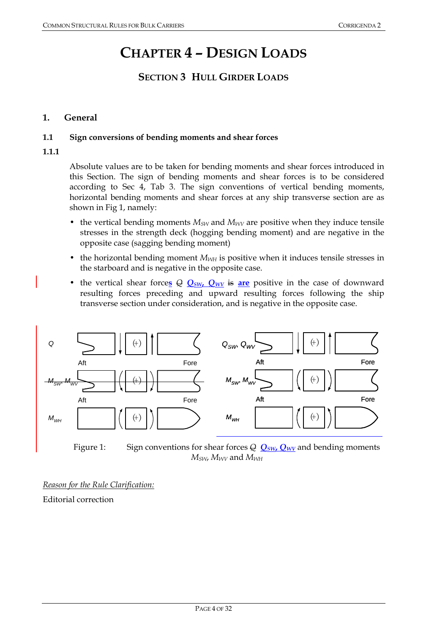# **CHAPTER 4 – DESIGN LOADS**

# **SECTION 3 HULL GIRDER LOADS**

# **1. General**

## **1.1 Sign conversions of bending moments and shear forces**

# **1.1.1**

Absolute values are to be taken for bending moments and shear forces introduced in this Section. The sign of bending moments and shear forces is to be considered according to Sec 4, Tab 3. The sign conventions of vertical bending moments, horizontal bending moments and shear forces at any ship transverse section are as shown in Fig 1, namely:

- the vertical bending moments  $M_{SW}$  and  $M_{WW}$  are positive when they induce tensile stresses in the strength deck (hogging bending moment) and are negative in the opposite case (sagging bending moment)
- the horizontal bending moment  $M_{WH}$  is positive when it induces tensile stresses in the starboard and is negative in the opposite case.
- the vertical shear forces  $\Theta$   $Q_{SW}$ ,  $Q_{WV}$  is are positive in the case of downward resulting forces preceding and upward resulting forces following the ship transverse section under consideration, and is negative in the opposite case.



Figure 1: Sign conventions for shear forces  $\frac{\partial Q}{\partial y}S_{W}Q_{W}$  and bending moments *MSW*, *MWV* and *MWH* 

*Reason for the Rule Clarification:* Editorial correction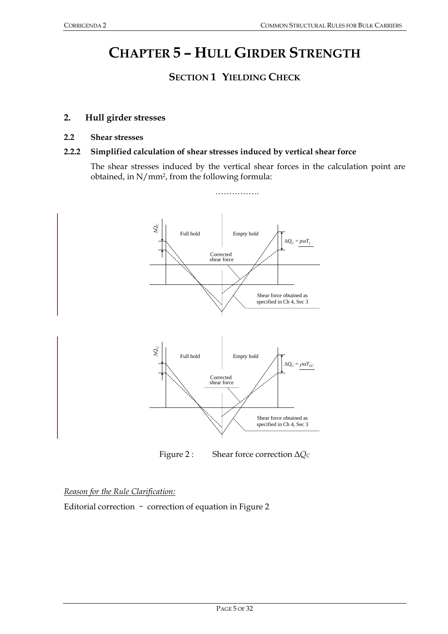# **CHAPTER 5 – HULL GIRDER STRENGTH**

# **SECTION 1 YIELDING CHECK**

## **2. Hull girder stresses**

#### **2.2 Shear stresses**

#### **2.2.2 Simplified calculation of shear stresses induced by vertical shear force**

 The shear stresses induced by the vertical shear forces in the calculation point are obtained, in N/mm2, from the following formula:



Figure 2 : Shear force correction Δ*Q*<sub>*c*</sub>

#### *Reason for the Rule Clarification:*

Editorial correction – correction of equation in Figure 2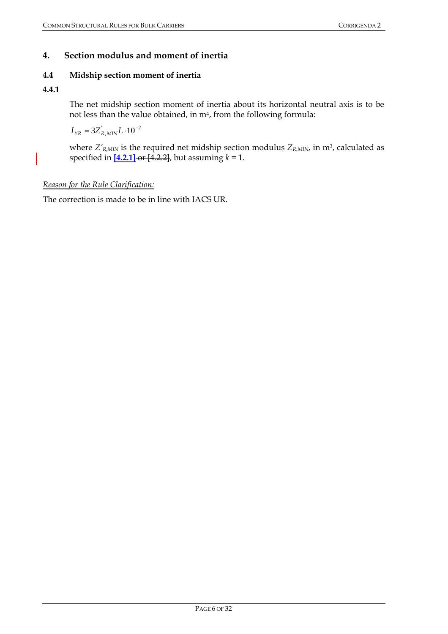# **4. Section modulus and moment of inertia**

# **4.4 Midship section moment of inertia**

# **4.4.1**

 The net midship section moment of inertia about its horizontal neutral axis is to be not less than the value obtained, in  $m<sup>4</sup>$ , from the following formula:

$$
I_{\gamma R} = 3Z_{R,MIN}^{\dagger} L \cdot 10^{-2}
$$

where  $Z'_{R,MIN}$  is the required net midship section modulus  $Z_{R,MIN}$ , in m<sup>3</sup>, calculated as specified in  $[4.2.1]$  or  $[4.2.2]$ , but assuming  $k = 1$ .

# *Reason for the Rule Clarification:*

The correction is made to be in line with IACS UR.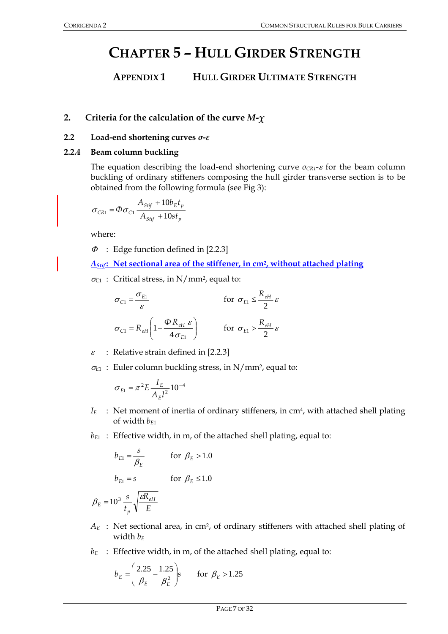# **CHAPTER 5 – HULL GIRDER STRENGTH**

# **APPENDIX 1 HULL GIRDER ULTIMATE STRENGTH**

# **2. Criteria for the calculation of the curve** *M-χ*

#### **2.2 Load-end shortening curves** *σ***-***ε*

## **2.2.4 Beam column buckling**

The equation describing the load-end shortening curve *σCR1-*ε for the beam column buckling of ordinary stiffeners composing the hull girder transverse section is to be obtained from the following formula (see Fig 3):

$$
\sigma_{CR1} = \Phi \sigma_{C1} \frac{A_{Stif} + 10b_E t_p}{A_{Stif} + 10st_p}
$$

where:

 $\Phi$  : Edge function defined in [2.2.3]

*AStif* **: Net sectional area of the stiffener, in cm2, without attached plating**

<sup>σ</sup>*C*1 : Critical stress, in N/mm2, equal to:

$$
\sigma_{C1} = \frac{\sigma_{E1}}{\varepsilon} \qquad \text{for } \sigma_{E1} \le \frac{R_{eH}}{2} \varepsilon
$$
\n
$$
\sigma_{C1} = R_{eH} \left( 1 - \frac{\Phi R_{eH} \varepsilon}{4 \sigma_{E1}} \right) \qquad \text{for } \sigma_{E1} > \frac{R_{eH}}{2} \varepsilon
$$

 $\varepsilon$  : Relative strain defined in [2.2.3]

<sup>σ</sup>*E*1 : Euler column buckling stress, in N/mm2, equal to:

$$
\sigma_{E1} = \pi^2 E \frac{I_E}{A_E l^2} 10^{-4}
$$

- $I_E$  : Net moment of inertia of ordinary stiffeners, in cm<sup>4</sup>, with attached shell plating of width *bE*1
- *b*<sub>E1</sub> : Effective width, in m, of the attached shell plating, equal to:

$$
b_{E1} = \frac{s}{\beta_E}
$$
 for  $\beta_E > 1.0$   

$$
b_{E1} = s
$$
 for  $\beta_E \le 1.0$ 

$$
\beta_E = 10^3 \frac{s}{t_p} \sqrt{\frac{\varepsilon R_{eH}}{E}}
$$

- *AE* : Net sectional area, in cm2, of ordinary stiffeners with attached shell plating of width  $b_F$
- $b_E$  : Effective width, in m, of the attached shell plating, equal to:

$$
b_E = \left(\frac{2.25}{\beta_E} - \frac{1.25}{\beta_E^2}\right) s \qquad \text{for } \beta_E > 1.25
$$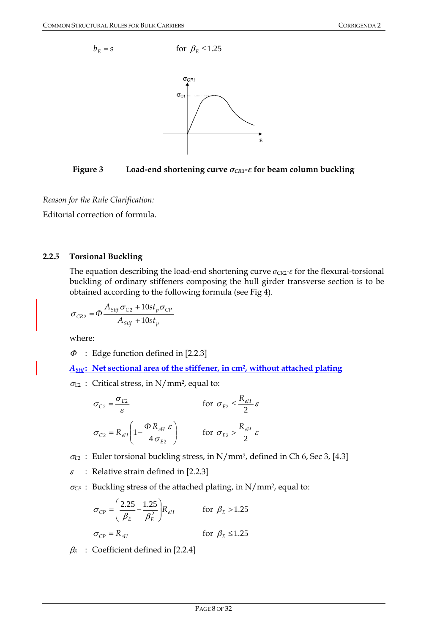

**Figure 3** Load-end shortening curve  $\sigma_{CR1}$ - $\varepsilon$  for beam column buckling

Editorial correction of formula.

# **2.2.5 Torsional Buckling**

 The equation describing the load-end shortening curve *σCR*2*-ε* for the flexural-torsional buckling of ordinary stiffeners composing the hull girder transverse section is to be obtained according to the following formula (see Fig 4).

$$
\sigma_{CR2} = \Phi \frac{A_{Stif} \sigma_{C2} + 10st_p \sigma_{CP}}{A_{Stif} + 10st_p}
$$

where:

 $\Phi$  : Edge function defined in [2.2.3]

*AStif* **: Net sectional area of the stiffener, in cm2, without attached plating**

<sup>σ</sup>*C*2 : Critical stress, in N/mm2, equal to:

$$
\sigma_{C2} = \frac{\sigma_{E2}}{\varepsilon} \qquad \text{for } \sigma_{E2} \le \frac{R_{eH}}{2} \varepsilon
$$
\n
$$
\sigma_{C2} = R_{eH} \left( 1 - \frac{\Phi R_{eH} \varepsilon}{4 \sigma_{E2}} \right) \qquad \text{for } \sigma_{E2} > \frac{R_{eH}}{2} \varepsilon
$$

<sup>σ</sup>*E*2 : Euler torsional buckling stress, in N/mm2, defined in Ch 6, Sec 3, [4.3]

 $\varepsilon$  : Relative strain defined in [2.2.3]

<sup>σ</sup>*CP* : Buckling stress of the attached plating, in N/mm2, equal to:

$$
\sigma_{CP} = \left(\frac{2.25}{\beta_E} - \frac{1.25}{\beta_E^2}\right) R_{eH} \qquad \text{for } \beta_E > 1.25
$$
\n
$$
\sigma_{CP} = R_{eH} \qquad \text{for } \beta_E \le 1.25
$$

β*<sup>E</sup>* : Coefficient defined in [2.2.4]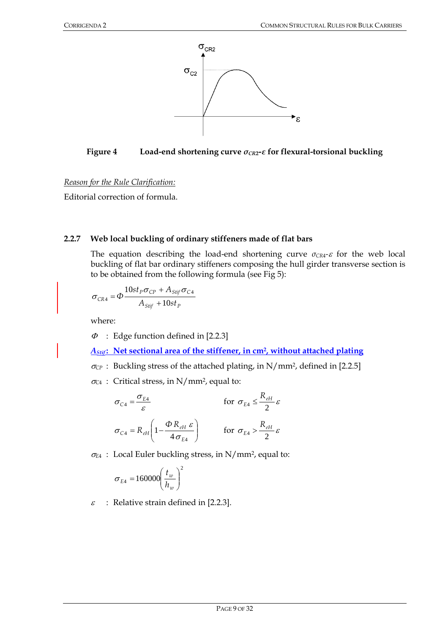

**Figure 4 Load-end shortening curve** *σCR***2***-ε* **for flexural-torsional buckling** 

Editorial correction of formula.

# **2.2.7 Web local buckling of ordinary stiffeners made of flat bars**

The equation describing the load-end shortening curve  $\sigma_{CR4}$ - $\varepsilon$  for the web local buckling of flat bar ordinary stiffeners composing the hull girder transverse section is to be obtained from the following formula (see Fig 5):

$$
\sigma_{CR4} = \Phi \frac{10st_p \sigma_{CP} + A_{Stif} \sigma_{C4}}{A_{Stif} + 10st_p}
$$

where:

 $\Phi$ : Edge function defined in [2.2.3]

*AStif* **: Net sectional area of the stiffener, in cm2, without attached plating**

- $\sigma_{\rm CP}$ : Buckling stress of the attached plating, in N/mm<sup>2</sup>, defined in [2.2.5]
- <sup>σ</sup>*C*<sup>4</sup> : Critical stress, in N/mm2, equal to:

$$
\sigma_{C4} = \frac{\sigma_{E4}}{\varepsilon} \qquad \text{for } \sigma_{E4} \le \frac{R_{eH}}{2} \varepsilon
$$
\n
$$
\sigma_{C4} = R_{eH} \left( 1 - \frac{\Phi R_{eH} \varepsilon}{4 \sigma_{E4}} \right) \qquad \text{for } \sigma_{E4} > \frac{R_{eH}}{2} \varepsilon
$$

<sup>σ</sup>*E*4 : Local Euler buckling stress, in N/mm2, equal to:

$$
\sigma_{E4} = 160000 \left(\frac{t_w}{h_w}\right)^2
$$

 $\varepsilon$  : Relative strain defined in [2.2.3].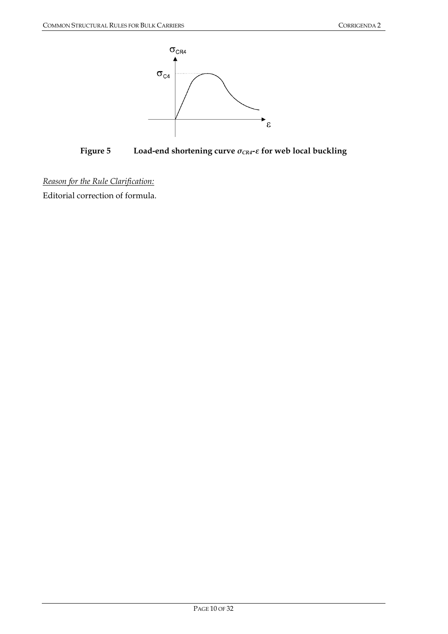

**Figure 5 Load-end shortening curve** *σCR4-ε* **for web local buckling** 

Editorial correction of formula.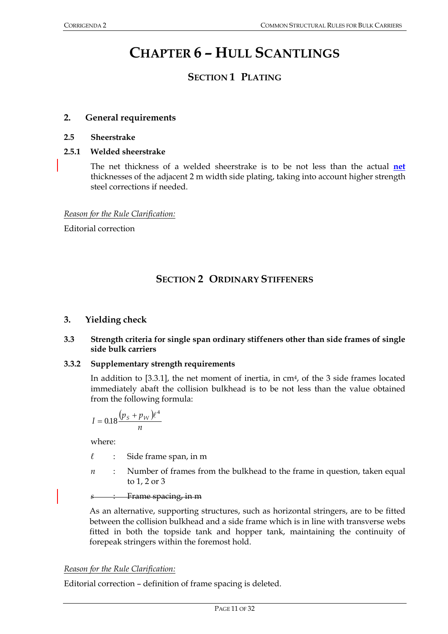# **CHAPTER 6 – HULL SCANTLINGS**

# **SECTION 1 PLATING**

# **2. General requirements**

## **2.5 Sheerstrake**

# **2.5.1 Welded sheerstrake**

The net thickness of a welded sheerstrake is to be not less than the actual **net** thicknesses of the adjacent 2 m width side plating, taking into account higher strength steel corrections if needed.

*Reason for the Rule Clarification:*

Editorial correction

# **SECTION 2 ORDINARY STIFFENERS**

# **3. Yielding check**

## **3.3 Strength criteria for single span ordinary stiffeners other than side frames of single side bulk carriers**

# **3.3.2 Supplementary strength requirements**

In addition to [3.3.1], the net moment of inertia, in cm<sup>4</sup>, of the 3 side frames located immediately abaft the collision bulkhead is to be not less than the value obtained from the following formula:

$$
I = 0.18 \frac{(p_s + p_W)\ell^4}{n}
$$

where:

- *ℓ* : Side frame span, in m
- *n* : Number of frames from the bulkhead to the frame in question, taken equal to 1, 2 or 3

*s* : Frame spacing, in m

As an alternative, supporting structures, such as horizontal stringers, are to be fitted between the collision bulkhead and a side frame which is in line with transverse webs fitted in both the topside tank and hopper tank, maintaining the continuity of forepeak stringers within the foremost hold.

# *Reason for the Rule Clarification:*

Editorial correction – definition of frame spacing is deleted.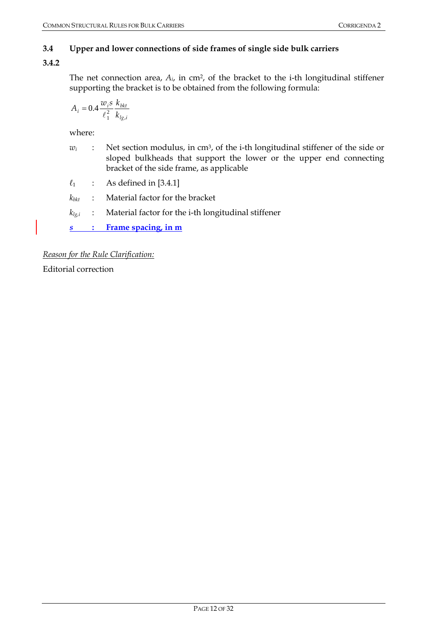# **3.4 Upper and lower connections of side frames of single side bulk carriers**

# **3.4.2**

The net connection area, *Ai*, in cm2, of the bracket to the i-th longitudinal stiffener supporting the bracket is to be obtained from the following formula:

$$
A_i = 0.4 \frac{w_i s}{\ell_1^2} \frac{k_{bkt}}{k_{lg,i}}
$$

where:

- *w<sub>i</sub>* : Net section modulus, in cm<sup>3</sup>, of the i-th longitudinal stiffener of the side or sloped bulkheads that support the lower or the upper end connecting bracket of the side frame, as applicable
- *ℓ*1 : As defined in [3.4.1]
- *kbkt* : Material factor for the bracket
- *klg,i* : Material factor for the i-th longitudinal stiffener

*s* **: Frame spacing, in m**

*Reason for the Rule Clarification:*

Editorial correction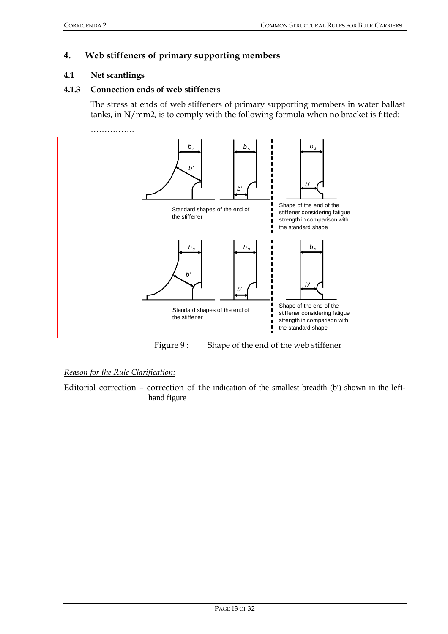# **4. Web stiffeners of primary supporting members**

#### **4.1 Net scantlings**

#### **4.1.3 Connection ends of web stiffeners**

The stress at ends of web stiffeners of primary supporting members in water ballast tanks, in N/mm2, is to comply with the following formula when no bracket is fitted:



Figure 9: Shape of the end of the web stiffener

#### *Reason for the Rule Clarification:*

Editorial correction – correction of the indication of the smallest breadth (b') shown in the lefthand figure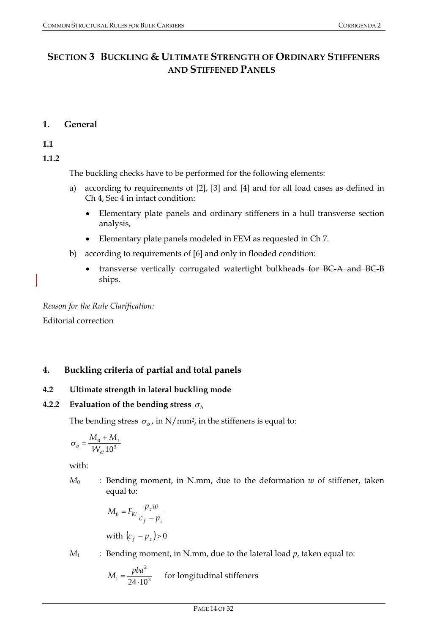# **SECTION 3 BUCKLING & ULTIMATE STRENGTH OF ORDINARY STIFFENERS AND STIFFENED PANELS**

# **1. General**

**1.1** 

**1.1.2** 

The buckling checks have to be performed for the following elements:

- a) according to requirements of [2], [3] and [4] and for all load cases as defined in Ch 4, Sec 4 in intact condition:
	- Elementary plate panels and ordinary stiffeners in a hull transverse section analysis,
	- Elementary plate panels modeled in FEM as requested in Ch 7.
- b) according to requirements of [6] and only in flooded condition:
	- transverse vertically corrugated watertight bulkheads for BC-A and BC-B ships.

*Reason for the Rule Clarification:*

Editorial correction

# **4. Buckling criteria of partial and total panels**

# **4.2 Ultimate strength in lateral buckling mode**

# **4.2.2** Evaluation of the bending stress  $\sigma_b$

The bending stress  $\sigma_h$ , in N/mm<sup>2</sup>, in the stiffeners is equal to:

$$
\sigma_b = \frac{M_0 + M_1}{W_{st} 10^3}
$$

with:

*M*0 : Bending moment, in N.mm, due to the deformation *w* of stiffener, taken equal to:

$$
M_0 = F_{ki} \frac{p_z w}{c_f - p_z}
$$
  
with  $(c_f - p_z) > 0$ 

 $M_1$  : Bending moment, in N.mm, due to the lateral load  $p$ , taken equal to:

$$
M_1 = \frac{pba^2}{24 \cdot 10^3}
$$
 for longitudinal stiffness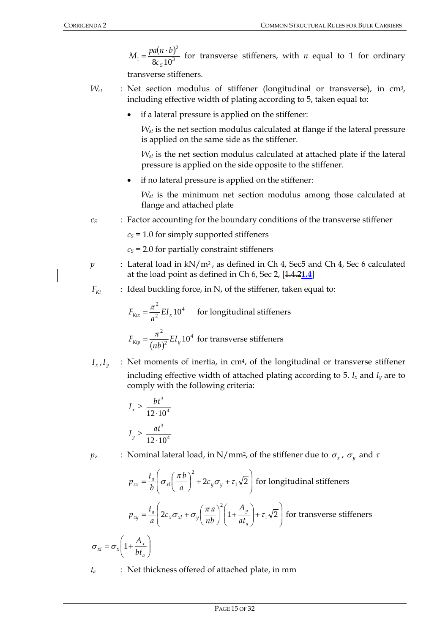$M_1 = \frac{pa(n \cdot b)}{2a \cdot 10^3}$ 2  $1 - \frac{1}{8c_s 10}$  $M_1 = \frac{pa(n \cdot b)^2}{a(n \cdot a)^3}$  for transverse stiffeners, with *n* equal to 1 for ordinary

transverse stiffeners.

- $W_{st}$  : Net section modulus of stiffener (longitudinal or transverse), in  $cm^3$ , including effective width of plating according to 5, taken equal to:
	- if a lateral pressure is applied on the stiffener:

 *Wst* is the net section modulus calculated at flange if the lateral pressure is applied on the same side as the stiffener.

 *Wst* is the net section modulus calculated at attached plate if the lateral pressure is applied on the side opposite to the stiffener.

• if no lateral pressure is applied on the stiffener:

 *Wst* is the minimum net section modulus among those calculated at flange and attached plate

*c<sub>S</sub>*: Factor accounting for the boundary conditions of the transverse stiffener

 $c<sub>S</sub>$  = 1.0 for simply supported stiffeners

 $c<sub>S</sub>$  = 2.0 for partially constraint stiffeners

- *p* : Lateral load in kN/m<sup>2</sup>, as defined in Ch 4, Sec5 and Ch 4, Sec 6 calculated at the load point as defined in Ch 6, Sec 2, [1.4.2**1.4**]
- $F_{Ki}$  : Ideal buckling force, in N, of the stiffener, taken equal to:

$$
F_{Kix} = \frac{\pi^2}{a^2} EI_x 10^4
$$
 for longitudinal stiffness  

$$
F_{Kiy} = \frac{\pi^2}{(nb)^2} EI_y 10^4
$$
 for transverse stiffness

 $I_x, I_y$  : Net moments of inertia, in cm<sup>4</sup>, of the longitudinal or transverse stiffener including effective width of attached plating according to 5.  $I_x$  and  $I_y$  are to comply with the following criteria:

$$
I_x \ge \frac{bt^3}{12 \cdot 10^4}
$$

$$
I_y \ge \frac{at^3}{12 \cdot 10^4}
$$

*p*<sub>z</sub> : Nominal lateral load, in N/mm<sup>2</sup>, of the stiffener due to  $\sigma_x$ ,  $\sigma_y$  and  $\tau$ 

$$
p_{zx} = \frac{t_a}{b} \left( \sigma_{xl} \left( \frac{\pi b}{a} \right)^2 + 2c_y \sigma_y + \tau_1 \sqrt{2} \right) \text{ for longitudinal stiffness}
$$
\n
$$
p_{zy} = \frac{t_a}{a} \left( 2c_x \sigma_{xl} + \sigma_y \left( \frac{\pi a}{nb} \right)^2 \left( 1 + \frac{A_y}{at_a} \right) + \tau_1 \sqrt{2} \right) \text{ for transverse stiffness}
$$
\n
$$
\sigma_{xl} = \sigma_x \left( 1 + \frac{A_x}{bt_a} \right)
$$

*ta* : Net thickness offered of attached plate, in mm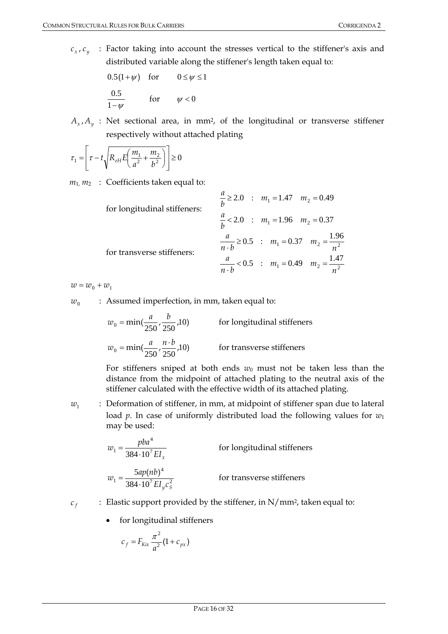$c_x$ ,  $c_y$  : Factor taking into account the stresses vertical to the stiffener's axis and distributed variable along the stiffener's length taken equal to:

$$
0.5(1+\psi) \quad \text{for} \quad 0 \le \psi \le 1
$$
  

$$
\frac{0.5}{1-\psi} \quad \text{for} \quad \psi < 0
$$

 $A_x$ ,  $A_y$  : Net sectional area, in mm<sup>2</sup>, of the longitudinal or transverse stiffener respectively without attached plating

$$
\tau_1 = \left[ \tau - t \sqrt{R_{eH} E \left( \frac{m_1}{a^2} + \frac{m_2}{b^2} \right)} \right] \ge 0
$$

 $m_1$ ,  $m_2$  : Coefficients taken equal to:

| for longitudinal stiffeners: | $\frac{u}{h} \ge 2.0$ : $m_1 = 1.47$ $m_2 = 0.49$                     |
|------------------------------|-----------------------------------------------------------------------|
|                              | $\frac{a}{b}$ < 2.0 : $m_1$ = 1.96 $m_2$ = 0.37                       |
| for transverse stiffeners:   | $\frac{a}{n \cdot b} \ge 0.5$ : $m_1 = 0.37$ $m_2 = \frac{1.96}{n^2}$ |
|                              | $\frac{a}{n \cdot b}$ < 0.5 : $m_1$ = 0.49 $m_2 = \frac{1.47}{n^2}$   |

 $w = w_0 + w_1$ 

 $w_0$  : Assumed imperfection, in mm, taken equal to:

$$
w_0 = \min(\frac{a}{250}, \frac{b}{250}, 10)
$$
 for longitudinal stiffness  

$$
w_0 = \min(\frac{a}{250}, \frac{n \cdot b}{250}, 10)
$$
 for transverse stiffness

For stiffeners sniped at both ends  $w_0$  must not be taken less than the distance from the midpoint of attached plating to the neutral axis of the stiffener calculated with the effective width of its attached plating.

*w*<sub>1</sub> : Deformation of stiffener, in mm, at midpoint of stiffener span due to lateral load *p*. In case of uniformly distributed load the following values for *w*<sup>1</sup> may be used:

$$
w_1 = \frac{pba^4}{384 \cdot 10^7 EI_x}
$$
 for longitudinal stiffness  

$$
w_1 = \frac{5ap(nb)^4}{384 \cdot 10^7 EI_y c_s^2}
$$
 for transverse stiffness

- $c_f$  : Elastic support provided by the stiffener, in N/mm<sup>2</sup>, taken equal to:
	- for longitudinal stiffeners

$$
c_f = F_{Kix} \frac{\pi^2}{a^2} (1 + c_{px})
$$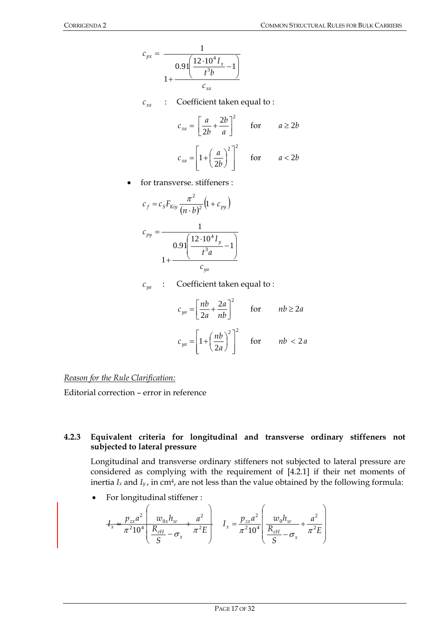$$
c_{px} = \frac{1}{1 + \frac{0.91 \left(\frac{12 \cdot 10^4 I_x}{t^3 b} - 1\right)}{c_{xa}}}
$$

 $c_{xa}$  : Coefficient taken equal to :

$$
c_{xa} = \left[\frac{a}{2b} + \frac{2b}{a}\right]^2 \quad \text{for} \quad a \ge 2b
$$

$$
c_{xa} = \left[1 + \left(\frac{a}{2b}\right)^2\right]^2 \quad \text{for} \quad a < 2b
$$

• for transverse. stiffeners :

$$
c_f = c_S F_{Kiy} \frac{\pi^2}{(n \cdot b)^2} (1 + c_{py})
$$

$$
c_{py} = \frac{1}{0.91 \left( \frac{12 \cdot 10^4 I_y}{t^3 a} - 1 \right)}
$$

$$
1 + \frac{c_{ya}}{c_{ya}}
$$

 $c_{ya}$  : Coefficient taken equal to :

$$
c_{ya} = \left[\frac{nb}{2a} + \frac{2a}{nb}\right]^2 \quad \text{for} \quad nb \ge 2a
$$

$$
c_{ya} = \left[1 + \left(\frac{nb}{2a}\right)^2\right]^2 \quad \text{for} \quad nb < 2a
$$

*Reason for the Rule Clarification:*

Editorial correction – error in reference

## **4.2.3 Equivalent criteria for longitudinal and transverse ordinary stiffeners not subjected to lateral pressure**

Longitudinal and transverse ordinary stiffeners not subjected to lateral pressure are considered as complying with the requirement of [4.2.1] if their net moments of inertia  $I_x$  and  $I_y$ , in cm<sup>4</sup>, are not less than the value obtained by the following formula:

• For longitudinal stiffener :

$$
I_x = \frac{p_{zx}a^2}{\pi^2 10^4} \left( \frac{w_{0x}h_w}{S} - \frac{a^2}{\pi^2 E} \right) \quad I_x = \frac{p_{zx}a^2}{\pi^2 10^4} \left( \frac{w_0h_w}{\frac{R_{eH}}{S}} - \frac{a^2}{\pi^2 E} \right)
$$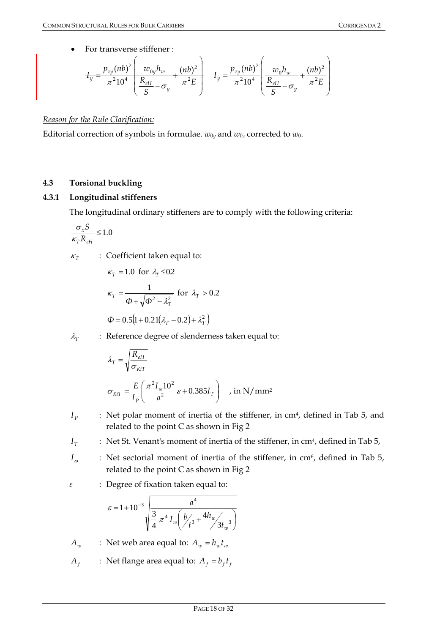For transverse stiffener :

$$
I_y = \frac{p_{zy}(nb)^2}{\pi^2 10^4} \left( \frac{w_{0y}h_w}{S} - \sigma_y + \frac{(nb)^2}{\pi^2 E} \right) \quad I_y = \frac{p_{zy}(nb)^2}{\pi^2 10^4} \left( \frac{w_0h_w}{\frac{R_{eH}}{S}} - \frac{(nb)^2}{\pi^2 E} \right)
$$

# *Reason for the Rule Clarification:*

Editorial correction of symbols in formulae.  $w_{0y}$  and  $w_{0z}$  corrected to  $w_0$ .

# **4.3 Torsional buckling**

# **4.3.1 Longitudinal stiffeners**

The longitudinal ordinary stiffeners are to comply with the following criteria:

$$
\frac{\sigma_x S}{\kappa_T R_{eH}} \le 1.0
$$

 $\kappa_T$  : Coefficient taken equal to:

$$
\kappa_T = 1.0 \text{ for } \lambda_T \le 0.2
$$
\n
$$
\kappa_T = \frac{1}{\Phi + \sqrt{\Phi^2 - \lambda_T^2}} \text{ for } \lambda_T > 0.2
$$
\n
$$
\Phi = 0.5 \left( 1 + 0.21(\lambda_T - 0.2) + \lambda_T^2 \right)
$$

 $\lambda_T$  : Reference degree of slenderness taken equal to:

$$
\lambda_T = \sqrt{\frac{R_{eH}}{\sigma_{KiT}}}
$$
\n
$$
\sigma_{KiT} = \frac{E}{I_P} \left( \frac{\pi^2 I_o 10^2}{a^2} \varepsilon + 0.385 I_T \right) , \text{ in N/mm}^2
$$

*P<sub>P</sub>* : Net polar moment of inertia of the stiffener, in cm<sup>4</sup>, defined in Tab 5, and related to the point C as shown in Fig 2

 $I<sub>T</sub>$  : Net St. Venant's moment of inertia of the stiffener, in cm<sup>4</sup>, defined in Tab 5,

- *I*<sub>*n*</sub> : Net sectorial moment of inertia of the stiffener, in cm<sup>6</sup>, defined in Tab 5, related to the point C as shown in Fig 2
- *ε* : Degree of fixation taken equal to:

$$
\varepsilon = 1 + 10^{-3} \sqrt{\frac{a^4}{\frac{3}{4} \pi^4 I_w \left(b_{f^3}^2 + \frac{4h_w}{3t_w}\right)}}
$$

 $A_w$  : Net web area equal to:  $A_w = h_w t_w$ 

 $A_f$  : Net flange area equal to:  $A_f = b_f t_f$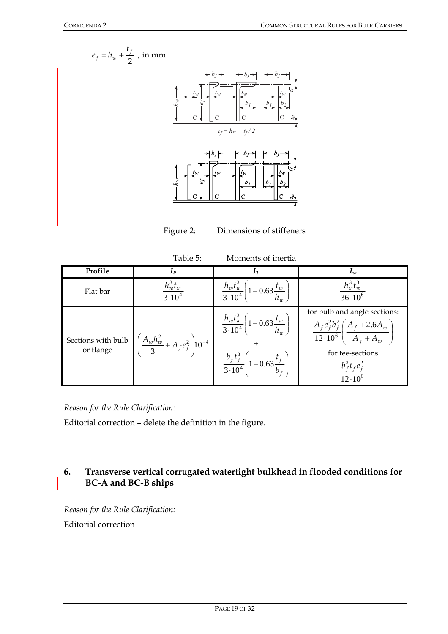



Figure 2: Dimensions of stiffeners

| Table 5:<br>Moments of inertia  |                                                        |                                                                                                                                                  |                                                                                                                                                                                         |  |
|---------------------------------|--------------------------------------------------------|--------------------------------------------------------------------------------------------------------------------------------------------------|-----------------------------------------------------------------------------------------------------------------------------------------------------------------------------------------|--|
| Profile                         | $I_P$                                                  | $1\pi$                                                                                                                                           | $I_w$                                                                                                                                                                                   |  |
| Flat bar                        | $h^3_{w}t_w$<br>$3 \cdot 10^{4}$                       | $\frac{h_w t_w^3}{3 \cdot 10^4} \left(1 - 0.63 \frac{t_w}{h_w}\right)$                                                                           | $h_w^3 t_w^3$<br>$36.10^{6}$                                                                                                                                                            |  |
| Sections with bulb<br>or flange | $\left(\frac{A_w h_w^2}{3} + A_f e_f^2\right) 10^{-4}$ | $\frac{h_w t_w^3}{3 \cdot 10^4} \left(1 - 0.63 \frac{t_w}{h_w}\right)$<br>$\frac{b_f t_f^3}{3 \cdot 10^4} \left(1 - 0.63 \frac{t_f}{b_f}\right)$ | for bulb and angle sections:<br>$\frac{A_f e_f^2 b_f^2}{12 \cdot 10^6} \left( \frac{A_f + 2.6 A_w}{A_f + A_w} \right)$<br>for tee-sections<br>$b_f^3t_f^2$<br>$\frac{12 \cdot 10^6}{2}$ |  |

# *Reason for the Rule Clarification:*

Editorial correction – delete the definition in the figure.

# **6. Transverse vertical corrugated watertight bulkhead in flooded conditions for BC-A and BC-B ships**

# *Reason for the Rule Clarification:*

Editorial correction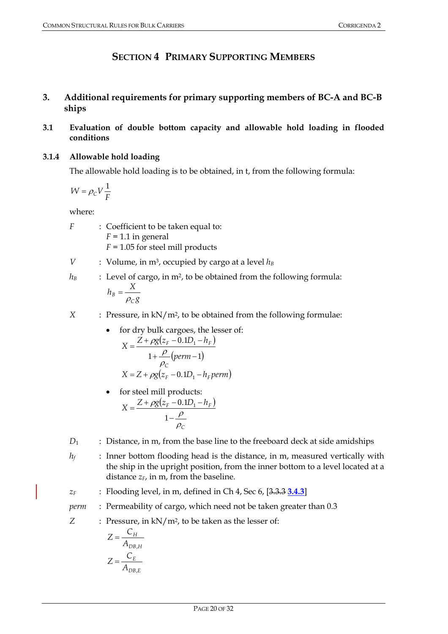# **SECTION 4 PRIMARY SUPPORTING MEMBERS**

# **3. Additional requirements for primary supporting members of BC-A and BC-B ships**

# **3.1 Evaluation of double bottom capacity and allowable hold loading in flooded conditions**

# **3.1.4 Allowable hold loading**

The allowable hold loading is to be obtained, in t, from the following formula:

$$
W = \rho_C V \frac{1}{F}
$$

where:

- *F* : Coefficient to be taken equal to: *F =* 1.1 in general *F =* 1.05 for steel mill products
- *V* : Volume, in  $m^3$ , occupied by cargo at a level  $h_B$
- $h_B$  : Level of cargo, in m<sup>2</sup>, to be obtained from the following formula: *g*  $h_{\rm B} = \frac{X}{A}$ *C*  $B = \frac{1}{\rho}$

*X* : Pressure, in kN/m2, to be obtained from the following formulae:

- for dry bulk cargoes, the lesser of:  $(z_F - 0.1D_1 - h_F)$  $1 + \frac{P}{P}$ (perm -1)  $0.1D_1$ + <del>P''</del>(perm –  $=\frac{Z+\rho g(z_F-0.1D_1-\rho g(z_F-0.1D_1-\rho g(z_F-0.1D_1-\rho g(z_F-0.1D_1-\rho g(z_F-0.1D_1-\rho g(z_F-0.1D_1-\rho g(z_F-0.1D_1-\rho g(z_F-0.1D_1-\rho g(z_F-0.1D_1-\rho g(z_F-0.1D_1-\rho g(z_F-0.1D_1-\rho g(z_F-0.1D_1-\rho g(z_F-0.1D_1-\rho g(z_F-0.1D_1-\rho g(z_F-0.1D_1-\rho g(z_F-0.1D_1-\rho g(z_F-0.1D_1-\rho g(z_F-0.1D_1$ *perm*  $X = \frac{Z + \rho g(z_F - 0.1D_1 - h)}{g}$ *C*  $F = 0.1D_1 - n_F$  $\rho$ ρ  $\rho g(z_F-0)$ .  $X = Z + \rho g(z_F - 0.1D_1 - h_F \text{perm})$
- for steel mill products:  $(z_F - 0.1D_1 - h_F)$ *C*  $X = \frac{Z + \rho g (z_F - 0.1D_1 - h_F)}{g}$  $\rho$ ρ ρ −  $=\frac{Z+\rho g(z_F-0.1D_1-1)}{Z+\rho g(z_F-0.1D_1-1)}$ 1  $0.1D_1$
- *D*<sub>1</sub> : Distance, in m, from the base line to the freeboard deck at side amidships
- *h<sub>f</sub>* : Inner bottom flooding head is the distance, in m, measured vertically with the ship in the upright position, from the inner bottom to a level located at a distance  $z_F$ , in m, from the baseline.
- *zF* : Flooding level, in m, defined in Ch 4, Sec 6, [3.3.3 **3.4.3**]
- *perm* : Permeability of cargo, which need not be taken greater than 0.3

*Z* : Pressure, in kN/m2, to be taken as the lesser of:

$$
Z = \frac{C_H}{A_{DB,H}}
$$

$$
Z = \frac{C_E}{A_{DB,E}}
$$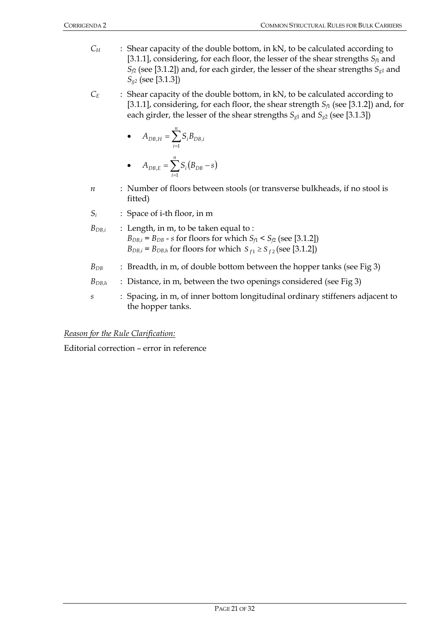- *C<sub>H</sub>* : Shear capacity of the double bottom, in kN, to be calculated according to [3.1.1], considering, for each floor, the lesser of the shear strengths *Sf*1 and  $S_{f2}$  (see [3.1.2]) and, for each girder, the lesser of the shear strengths  $S_{g1}$  and *Sg2* (see [3.1.3])
- *C<sub>E</sub>* : Shear capacity of the double bottom, in kN, to be calculated according to [3.1.1], considering, for each floor, the shear strength  $S_f$  (see [3.1.2]) and, for each girder, the lesser of the shear strengths  $S_{g1}$  and  $S_{g2}$  (see [3.1.3])

• 
$$
A_{DB,H} = \sum_{i=1}^{n} S_i B_{DB,i}
$$

- $A_{DB,E} = \sum_{i=1} S_i (B_{DB} s)$ *i*  $A_{DB,E} = \sum S_i (B_{DB} - s)$ 1 ,
- *n* : Number of floors between stools (or transverse bulkheads, if no stool is fitted)
- *Si* : Space of i-th floor, in m
- *BDB,i* : Length, in m, to be taken equal to :  $B_{DB,i} = B_{DB} - s$  for floors for which  $S_{f1} < S_{f2}$  (see [3.1.2]) *B*<sub>*DB,i*</sub> = *B*<sub>*DB,h*</sub> for floors for which  $S_{f1} \ge S_{f2}$  (see [3.1.2])
- *B*<sub>DB</sub> : Breadth, in m, of double bottom between the hopper tanks (see Fig 3)
- *B*<sub>DB,h</sub> : Distance, in m, between the two openings considered (see Fig 3)
- *s* : Spacing, in m, of inner bottom longitudinal ordinary stiffeners adjacent to the hopper tanks.

Editorial correction – error in reference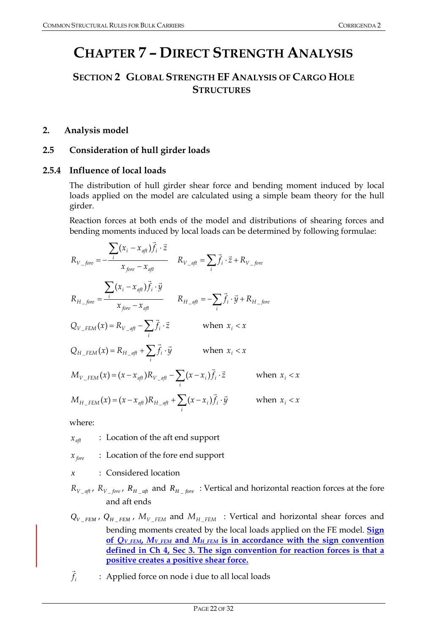# **CHAPTER 7 – DIRECT STRENGTH ANALYSIS**

# **SECTION 2 GLOBAL STRENGTH EF ANALYSIS OF CARGO HOLE STRUCTURES**

# **2. Analysis model**

# **2.5 Consideration of hull girder loads**

# **2.5.4 Influence of local loads**

The distribution of hull girder shear force and bending moment induced by local loads applied on the model are calculated using a simple beam theory for the hull girder.

Reaction forces at both ends of the model and distributions of shearing forces and bending moments induced by local loads can be determined by following formulae:

$$
R_{V\_fore} = -\frac{\sum_{i} (x_i - x_{af}) \vec{f}_i \cdot \vec{z}}{x_{fore} - x_{af}}
$$
  
\n
$$
R_{V\_af} = \sum_{i} \vec{f}_i \cdot \vec{z} + R_{V\_fore}
$$
  
\n
$$
R_{H\_fore} = \frac{\sum_{i} (x_i - x_{af}) \vec{f}_i \cdot \vec{y}}{x_{fore} - x_{af}}
$$
  
\n
$$
R_{H\_af} = -\sum_{i} \vec{f}_i \cdot \vec{y} + R_{H\_fore}
$$
  
\n
$$
Q_{V\_FEM}(x) = R_{V\_af} - \sum_{i} \vec{f}_i \cdot \vec{z}
$$
  
\n
$$
Q_{H\_FEM}(x) = R_{H\_af} + \sum_{i} \vec{f}_i \cdot \vec{y}
$$
  
\n
$$
R_{H \text{ or } X_i} < x
$$
  
\n
$$
M_{V\_FEM}(x) = R_{H\_af} + \sum_{i} \vec{f}_i \cdot \vec{y}
$$
  
\n
$$
R_{H \text{ or } X_i} < x
$$
  
\n
$$
M_{V\_FEM}(x) = (x - x_{af})R_{V\_af} - \sum_{i} (x - x_i) \vec{f}_i \cdot \vec{z}
$$
  
\n
$$
M_{H\_FEM}(x) = (x - x_{af})R_{H\_af} + \sum_{i} (x - x_i) \vec{f}_i \cdot \vec{y}
$$
  
\n
$$
R_{H \text{ or } X_i} < x
$$

where:

*xaft* : Location of the aft end support

*x*  $f_{\text{fore}}$  : Location of the fore end support

- *x* : Considered location
- $R_{V_{\perp}$ <sub>*aft*</sub>,  $R_{V_{\perp}}$ *fore*,  $R_{H_{\perp}$ <sub>*aft*</sub> and  $R_{H_{\perp}$ *fore* : Vertical and horizontal reaction forces at the fore and aft ends
- $Q_{V\_FEM}$ ,  $Q_{H\_FEM}$ ,  $M_{V\_FEM}$  and  $M_{H\_FEM}$  : Vertical and horizontal shear forces and bending moments created by the local loads applied on the FE model. **Sign** of  $Q_V$ <sub>FEM</sub>,  $M_V$ <sub>FEM</sub> and  $M_H$ <sub>FEM</sub> is in accordance with the sign convention **defined in Ch 4, Sec 3. The sign convention for reaction forces is that a positive creates a positive shear force.**
- $f_i$  $\overline{a}$ : Applied force on node i due to all local loads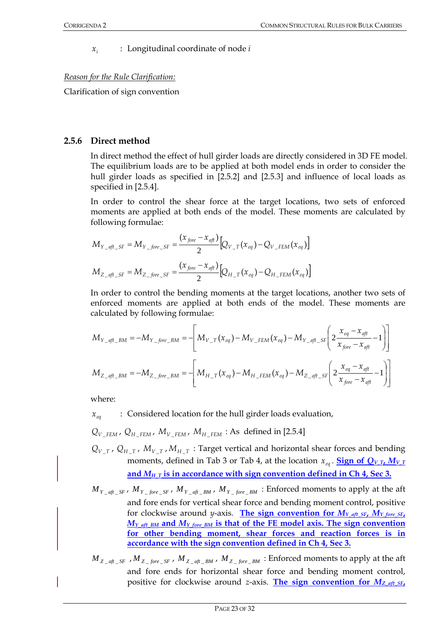*<sup>i</sup> x* : Longitudinal coordinate of node *i*

# *Reason for the Rule Clarification:*

Clarification of sign convention

# **2.5.6 Direct method**

In direct method the effect of hull girder loads are directly considered in 3D FE model. The equilibrium loads are to be applied at both model ends in order to consider the hull girder loads as specified in [2.5.2] and [2.5.3] and influence of local loads as specified in [2.5.4].

In order to control the shear force at the target locations, two sets of enforced moments are applied at both ends of the model. These moments are calculated by following formulae:

$$
M_{Y_{-}qf_{-}SF} = M_{Y_{-}fore_{-}SF} = \frac{(x_{fore} - x_{aft})}{2} [Q_{V_{-}T}(x_{eq}) - Q_{V_{-}FEM}(x_{eq})]
$$
  

$$
M_{Z_{-}qf_{-}SF} = M_{Z_{-}fore_{-}SF} = \frac{(x_{fore} - x_{aft})}{2} [Q_{H_{-}T}(x_{eq}) - Q_{H_{-}FEM}(x_{eq})]
$$

In order to control the bending moments at the target locations, another two sets of enforced moments are applied at both ends of the model. These moments are calculated by following formulae:

$$
M_{Y_{-}aft_{-}BM} = -M_{Y_{-}fore_{-}BM} = -\left[M_{V_{-}T}(x_{eq}) - M_{V_{-}FEM}(x_{eq}) - M_{Y_{-}aft_{-}SF}\left(2\frac{x_{eq} - x_{aft}}{x_{fore} - x_{aft}} - 1\right)\right]
$$
  

$$
M_{Z_{-}aft_{-}BM} = -M_{Z_{-}fore_{-}BM} = -\left[M_{H_{-}T}(x_{eq}) - M_{H_{-}FEM}(x_{eq}) - M_{Z_{-}aft_{-}SF}\left(2\frac{x_{eq} - x_{aft}}{x_{fore} - x_{aft}} - 1\right)\right]
$$

where:

- *xeq* : Considered location for the hull girder loads evaluation,
- $Q_V$   $_{FEM}$ ,  $Q_H$   $_{FEM}$ ,  $M_V$   $_{FEM}$ ,  $M_H$   $_{FEM}$  : As defined in [2.5.4]
- $Q_{V_T}$ ,  $Q_{H_T}$ ,  $M_{V_T}$ ,  $M_{H_T}$ : Target vertical and horizontal shear forces and bending moments, defined in Tab 3 or Tab 4, at the location  $x_{eq}$ . **Sign of**  $Q_{V,T}$ **,**  $M_{V,T}$ and  $M_H$ <sub>T</sub> is in accordance with sign convention defined in Ch 4, Sec 3.
- $M_{Y_{\perp} qf_{\perp} S^F}$ ,  $M_{Y_{\perp} fore_{\perp} S^F}$ ,  $M_{Y_{\perp} qf_{\perp} B M}$ ,  $M_{Y_{\perp} fore_{\perp} B M}$ : Enforced moments to apply at the aft and fore ends for vertical shear force and bending moment control, positive for clockwise around *y*-axis. The sign convention for  $M_{Y\_aft\_SF}$ ,  $M_{Y\_fore\_SF}$  $M_Y$ <sub>aft BM</sub> and  $M_Y$  fore BM</sub> is that of the FE model axis. The sign convention **for other bending moment, shear forces and reaction forces is in accordance with the sign convention defined in Ch 4, Sec 3.**
- $M_{Z}$   $_{at}$   $_{SF}$  ,  $M_{Z}$   $_{fore}$   $_{SF}$  ,  $M_{Z}$   $_{at}$   $_{BM}$  ,  $M_{Z}$   $_{fore}$   $_{BM}$  : Enforced moments to apply at the aft and fore ends for horizontal shear force and bending moment control, positive for clockwise around *z*-axis. The sign convention for  $M_Z$  aft SF,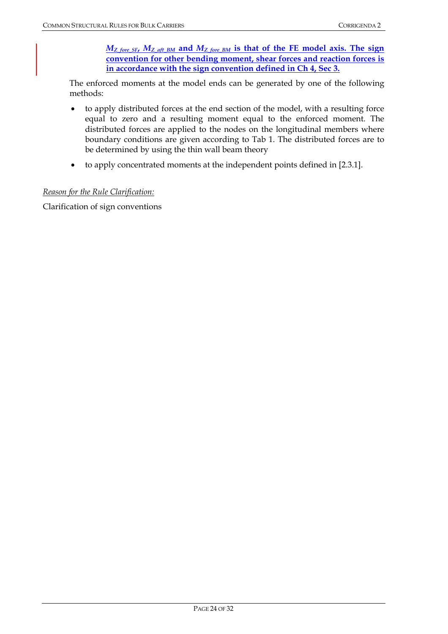*MZ\_fore\_SF***,** *MZ\_aft\_BM* **and** *MZ\_fore\_BM* **is that of the FE model axis. The sign convention for other bending moment, shear forces and reaction forces is in accordance with the sign convention defined in Ch 4, Sec 3.**

The enforced moments at the model ends can be generated by one of the following methods:

- to apply distributed forces at the end section of the model, with a resulting force equal to zero and a resulting moment equal to the enforced moment. The distributed forces are applied to the nodes on the longitudinal members where boundary conditions are given according to Tab 1. The distributed forces are to be determined by using the thin wall beam theory
- to apply concentrated moments at the independent points defined in [2.3.1].

## *Reason for the Rule Clarification:*

Clarification of sign conventions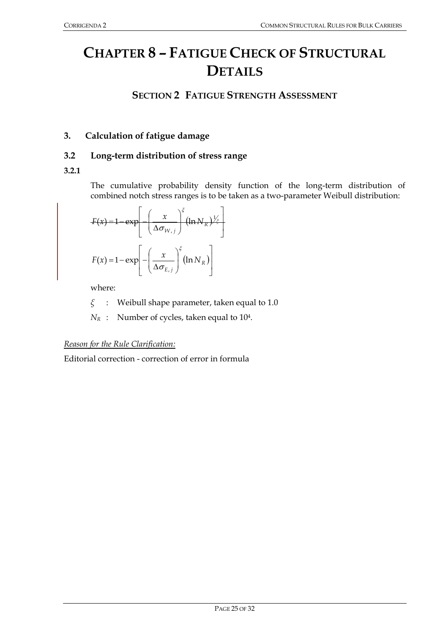# **CHAPTER 8 – FATIGUE CHECK OF STRUCTURAL DETAILS**

# **SECTION 2 FATIGUE STRENGTH ASSESSMENT**

# **3. Calculation of fatigue damage**

# **3.2 Long-term distribution of stress range**

## **3.2.1**

The cumulative probability density function of the long-term distribution of combined notch stress ranges is to be taken as a two-parameter Weibull distribution:

$$
F(x) = 1 - \exp\left[-\left(\frac{x}{\Delta \sigma_{W,j}}\right)^{\xi} (\ln N_R)^{\frac{1}{\xi}}\right]
$$

$$
F(x) = 1 - \exp\left[-\left(\frac{x}{\Delta \sigma_{E,j}}\right)^{\xi} (\ln N_R)\right]
$$

where:

*ξ* : Weibull shape parameter, taken equal to 1.0

 $N_R$  : Number of cycles, taken equal to 10<sup>4</sup>.

#### *Reason for the Rule Clarification:*

Editorial correction - correction of error in formula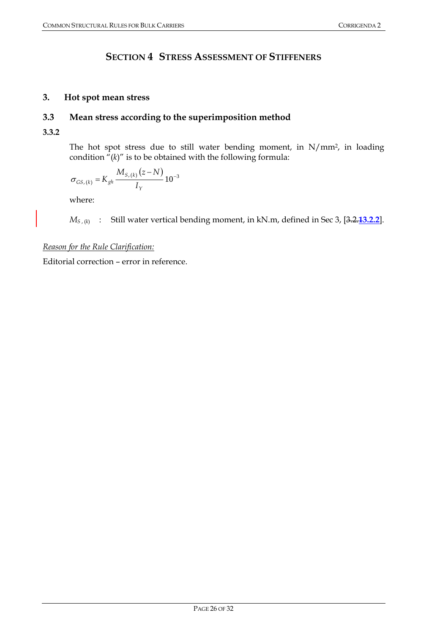# **SECTION 4 STRESS ASSESSMENT OF STIFFENERS**

# **3. Hot spot mean stress**

# **3.3 Mean stress according to the superimposition method**

**3.3.2** 

The hot spot stress due to still water bending moment, in N/mm2, in loading condition  $\sqrt[n]{(k)}$  is to be obtained with the following formula:

$$
\sigma_{_{GS,(k)}} = K_{gh} \frac{M_{S,(k)}(z-N)}{I_Y} 10^{-3}
$$

where:

*M<sub>S</sub>*, (*k*) : Still water vertical bending moment, in kN.m, defined in Sec 3, [3.2.13.2.2].

*Reason for the Rule Clarification:*

Editorial correction – error in reference.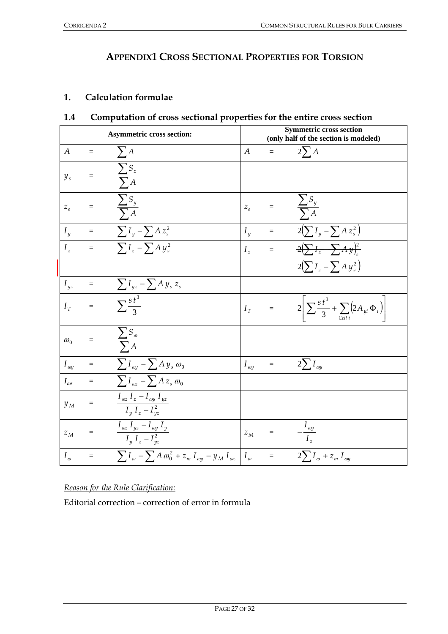# **APPENDIX1 CROSS SECTIONAL PROPERTIES FOR TORSION**

# **1. Calculation formulae**

| <b>Asymmetric cross section:</b> |                   | <b>Symmetric cross section</b><br>(only half of the section is modeled)        |                 |          |                                                                                                  |
|----------------------------------|-------------------|--------------------------------------------------------------------------------|-----------------|----------|--------------------------------------------------------------------------------------------------|
| A                                | $\equiv$          | $\sum A$                                                                       | A               | $=$      | $2\Sigma A$                                                                                      |
| $y_{s}$                          | $\!\!\!=\!\!\!\!$ | $\frac{\sum S_z}{\sum A}$                                                      |                 |          |                                                                                                  |
| $Z_{\rm c}$                      | $=$               | $\frac{\sum S_y}{\sum A}$                                                      | $Z_{\rm s}$     |          | $\frac{\sum S_y}{\sum A}$                                                                        |
| $I_{\nu}$                        | $\equiv$          | $\sum I_y - \sum A z_s^2$                                                      | $I_{\nu}$       | $=$      | $2(\sum I_y - \sum A z_s^2)$                                                                     |
| $I_z$                            | $\equiv$          | $\sum I_z - \sum A y_s^2$                                                      | $I_z$           | $=$      | $\frac{2(\sum I_z - \sum A_y)_s^2}{2\sum I_z - \sum A_y{}_s^2}$                                  |
|                                  |                   |                                                                                |                 |          | $2(\sum I_z - \sum A y_s^2)$                                                                     |
| $I_{\it yz}$                     | $\equiv$          | $\sum I_{yz} - \sum Ay_s z_s$                                                  |                 |          |                                                                                                  |
| $I_{\tau}$                       | $\equiv$          | $\frac{1}{\sqrt{\frac{1}{3}}s}$                                                | $I_{\tau}$      | $\equiv$ | $2\Bigg \sum \frac{s\,t^3}{3} + \sum\limits_{\textit{Cell}\,i}\Bigl(2A_{yi}\,\Phi_i\Bigr)\Bigg $ |
| $\omega_0$                       | $=$               | $\frac{\sum S_{\omega}}{\sum A}$                                               |                 |          |                                                                                                  |
| $I_{\mathit{oy}}$                | $\equiv$          | $\sum I_{\omega y} - \sum A y_s \omega_0$                                      | $I_\mathit{oy}$ | $=$      | $2\sum I_{\omega y}$                                                                             |
| $I_{\omega z}$                   | $\equiv$          | $\sum I_{\omega z} - \sum A z_s \omega_0$                                      |                 |          |                                                                                                  |
| $y_{M}$                          | $=$               | $I_{\omega z} I_z - I_{\omega y} I_{\nu z}$<br>$\overline{I_y} I_z - I_{yz}^2$ |                 |          |                                                                                                  |
| $z_M$                            | $=$               | $\frac{I_{\omega z} I_{yz} - I_{\omega y} I_y}{I_y I_z - I_{yz}^2}$            | $z_M$           | $=$      | $-\frac{I_{\omega y}}{I_z}$                                                                      |
| $I_{\omega}$                     | $=$               | $\sum I_{\omega} - \sum A \omega_0^2 + z_m I_{\omega} - y_M I_{\omega}$        | $I_{\omega}$    | $=$      | $2\sum I_{\omega} + z_m I_{\omega}$                                                              |

# **1.4 Computation of cross sectional properties for the entire cross section**

*Reason for the Rule Clarification:*

Editorial correction – correction of error in formula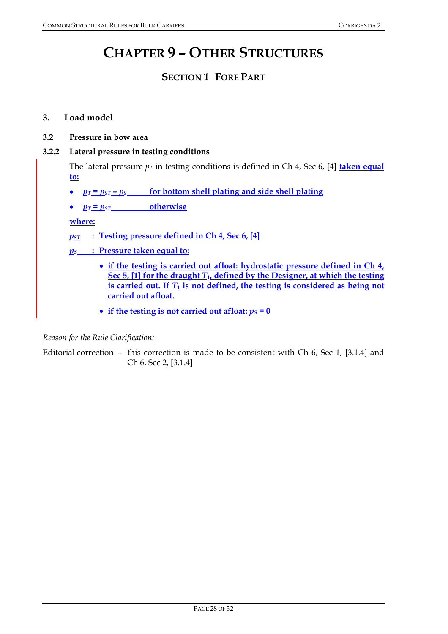# **CHAPTER 9 – OTHER STRUCTURES**

# **SECTION 1 FORE PART**

## **3. Load model**

**3.2 Pressure in bow area** 

## **3.2.2 Lateral pressure in testing conditions**

The lateral pressure  $p_T$  in testing conditions is defined in Ch 4, Sec 6, [4] **taken equal to:**

- $p_T = p_{ST} p_S$  for bottom shell plating and side shell plating
- $p_T = p_{ST}$  otherwise

**where:**

*pST* **: Testing pressure defined in Ch 4, Sec 6, [4]**

*pS* **: Pressure taken equal to:**

- **if the testing is carried out afloat: hydrostatic pressure defined in Ch 4,**  Sec 5, [1] for the draught  $T_1$ , defined by the Designer, at which the testing is carried out. If  $T_1$  is not defined, the testing is considered as being not **carried out afloat.**
- if the testing is not carried out afloat:  $p_S = 0$

#### *Reason for the Rule Clarification:*

Editorial correction – this correction is made to be consistent with Ch 6, Sec 1, [3.1.4] and Ch 6, Sec 2, [3.1.4]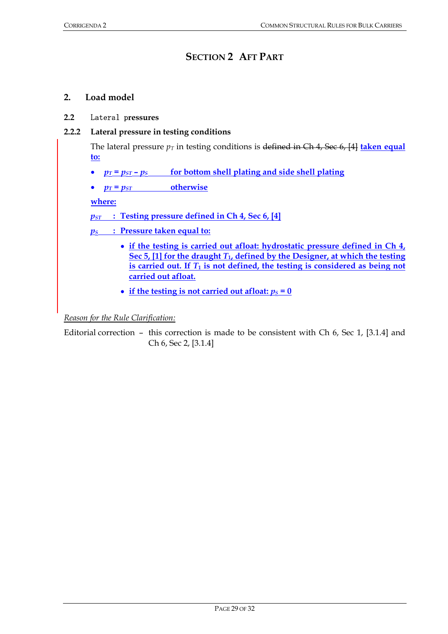# **SECTION 2 AFT PART**

# **2. Load model**

# **2.2** Lateral p**ressures**

# **2.2.2 Lateral pressure in testing conditions**

The lateral pressure  $p_T$  in testing conditions is defined in Ch 4, Sec 6, [4] **taken equal to:**

- $p_T = p_{ST} p_S$  for bottom shell plating and side shell plating
- $p_T = p_{ST}$  otherwise

**where:**

*pST* **: Testing pressure defined in Ch 4, Sec 6, [4]**

*pS* **: Pressure taken equal to:**

- **if the testing is carried out afloat: hydrostatic pressure defined in Ch 4, Sec 5, [1] for the draught** *T***1, defined by the Designer, at which the testing**  is carried out. If  $T_1$  is not defined, the testing is considered as being not **carried out afloat.**
- if the testing is not carried out afloat:  $p_S = 0$

*Reason for the Rule Clarification:*

Editorial correction – this correction is made to be consistent with Ch 6, Sec 1, [3.1.4] and Ch 6, Sec 2, [3.1.4]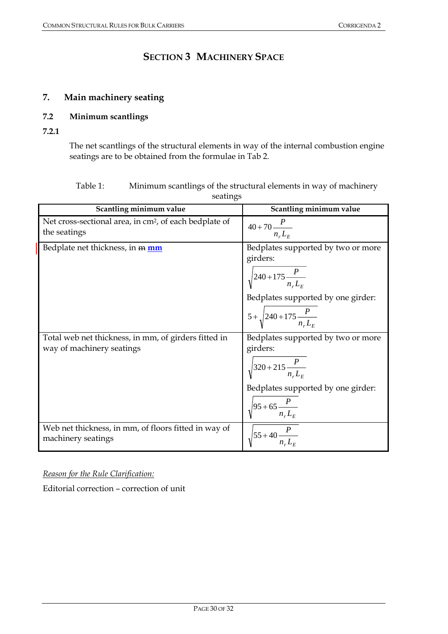# **SECTION 3 MACHINERY SPACE**

# **7. Main machinery seating**

# **7.2 Minimum scantlings**

**7.2.1** 

The net scantlings of the structural elements in way of the internal combustion engine seatings are to be obtained from the formulae in Tab 2.

| Table 1: | Minimum scantlings of the structural elements in way of machinery |
|----------|-------------------------------------------------------------------|
|          | seatings                                                          |

| Scantling minimum value                                                            | Scantling minimum value                                                                                                                                                    |
|------------------------------------------------------------------------------------|----------------------------------------------------------------------------------------------------------------------------------------------------------------------------|
| Net cross-sectional area, in cm <sup>2</sup> , of each bedplate of<br>the seatings | $40+70\frac{P}{n_{r}L_{F}}$                                                                                                                                                |
| Bedplate net thickness, in m mm                                                    | Bedplates supported by two or more<br>girders:<br>$\sqrt{240+175\frac{P}{n_rL_E}}$<br>Bedplates supported by one girder:<br>$5+\sqrt{240+175\frac{P}{n_{r}L_{F}}}$         |
| Total web net thickness, in mm, of girders fitted in<br>way of machinery seatings  | Bedplates supported by two or more<br>girders:<br>$\sqrt{320+215\frac{P}{nL_{\odot}}}$<br>Bedplates supported by one girder:<br>$\sqrt{95+65\frac{P}{n_{\perp}L_{\rm F}}}$ |
| Web net thickness, in mm, of floors fitted in way of<br>machinery seatings         | $\sqrt{55+40\frac{P}{n_{\infty}L_{F}}}$                                                                                                                                    |

*Reason for the Rule Clarification:*

Editorial correction – correction of unit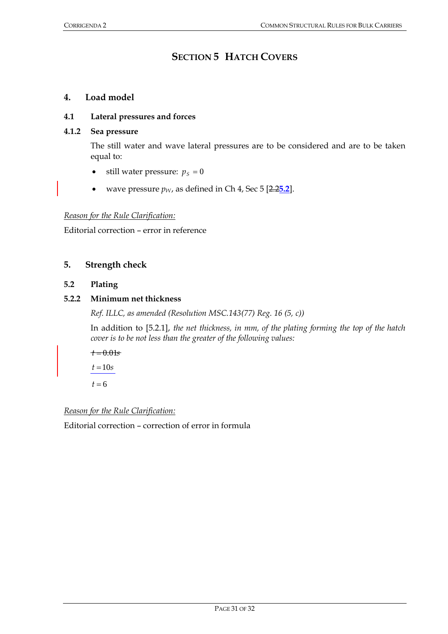# **SECTION 5 HATCH COVERS**

# **4. Load model**

#### **4.1 Lateral pressures and forces**

# **4.1.2 Sea pressure**

The still water and wave lateral pressures are to be considered and are to be taken equal to:

- still water pressure:  $p_s = 0$
- wave pressure  $p_W$ , as defined in Ch 4, Sec 5  $[2.25.2]$ .

#### *Reason for the Rule Clarification:*

Editorial correction – error in reference

## **5. Strength check**

#### **5.2 Plating**

## **5.2.2 Minimum net thickness**

*Ref. ILLC, as amended (Resolution MSC.143(77) Reg. 16 (5, c))* 

In addition to [5.2.1], *the net thickness, in mm, of the plating forming the top of the hatch cover is to be not less than the greater of the following values:*

$$
t = 0.01s
$$

$$
t = 10s
$$

$$
t = 6
$$

#### *Reason for the Rule Clarification:*

Editorial correction – correction of error in formula